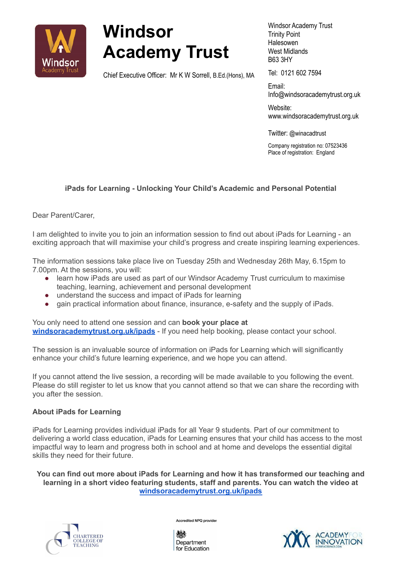

## **Windsor Academy Trust**

Chief Executive Officer: Mr K W Sorrell, B.Ed.(Hons), MA

Windsor Academy Trust Trinity Point Halesowen West Midlands B63 3HY

Tel: 0121 602 7594

Email: Info@[windsoracademytrust.org.uk](http://www.windsoracademytrust.org.uk)

Website: [www.windsoracademytrust.org.uk](http://www.windsoracademytrust.org.uk)

Twitter: @winacadtrust

Company registration no: 07523436 Place of registration: England

## **iPads for Learning - Unlocking Your Child's Academic and Personal Potential**

Dear Parent/Carer,

I am delighted to invite you to join an information session to find out about iPads for Learning - an exciting approach that will maximise your child's progress and create inspiring learning experiences.

The information sessions take place live on Tuesday 25th and Wednesday 26th May, 6.15pm to 7.00pm. At the sessions, you will:

- learn how iPads are used as part of our Windsor Academy Trust curriculum to maximise teaching, learning, achievement and personal development
- understand the success and impact of iPads for learning
- gain practical information about finance, insurance, e-safety and the supply of iPads.

You only need to attend one session and can **book your place at [windsoracademytrust.org.uk/ipads](https://www.windsoracademytrust.org.uk/our-approach/ipads/)** - If you need help booking, please contact your school.

The session is an invaluable source of information on iPads for Learning which will significantly enhance your child's future learning experience, and we hope you can attend.

If you cannot attend the live session, a recording will be made available to you following the event. Please do still register to let us know that you cannot attend so that we can share the recording with you after the session.

## **About iPads for Learning**

iPads for Learning provides individual iPads for all Year 9 students. Part of our commitment to delivering a world class education, iPads for Learning ensures that your child has access to the most impactful way to learn and progress both in school and at home and develops the essential digital skills they need for their future.

**You can find out more about iPads for Learning and how it has transformed our teaching and learning in a short video featuring students, staff and parents. You can watch the video at [windsoracademytrust.org.uk/ipads](https://www.windsoracademytrust.org.uk/our-approach/ipads/)**



Accredited NPQ provider